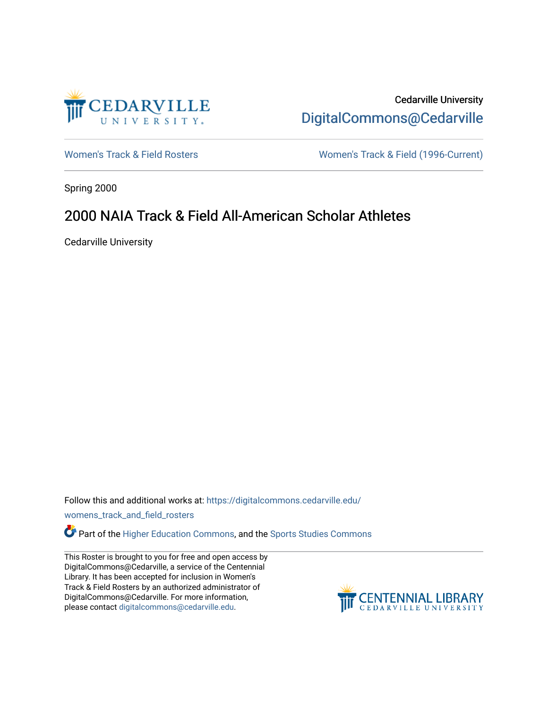

Cedarville University [DigitalCommons@Cedarville](https://digitalcommons.cedarville.edu/) 

[Women's Track & Field Rosters](https://digitalcommons.cedarville.edu/womens_track_and_field_rosters) Women's Track & Field (1996-Current)

Spring 2000

## 2000 NAIA Track & Field All-American Scholar Athletes

Cedarville University

Follow this and additional works at: [https://digitalcommons.cedarville.edu/](https://digitalcommons.cedarville.edu/womens_track_and_field_rosters?utm_source=digitalcommons.cedarville.edu%2Fwomens_track_and_field_rosters%2F26&utm_medium=PDF&utm_campaign=PDFCoverPages)

[womens\\_track\\_and\\_field\\_rosters](https://digitalcommons.cedarville.edu/womens_track_and_field_rosters?utm_source=digitalcommons.cedarville.edu%2Fwomens_track_and_field_rosters%2F26&utm_medium=PDF&utm_campaign=PDFCoverPages) 

**C** Part of the [Higher Education Commons,](http://network.bepress.com/hgg/discipline/1245?utm_source=digitalcommons.cedarville.edu%2Fwomens_track_and_field_rosters%2F26&utm_medium=PDF&utm_campaign=PDFCoverPages) and the Sports Studies Commons

This Roster is brought to you for free and open access by DigitalCommons@Cedarville, a service of the Centennial Library. It has been accepted for inclusion in Women's Track & Field Rosters by an authorized administrator of DigitalCommons@Cedarville. For more information, please contact [digitalcommons@cedarville.edu](mailto:digitalcommons@cedarville.edu).

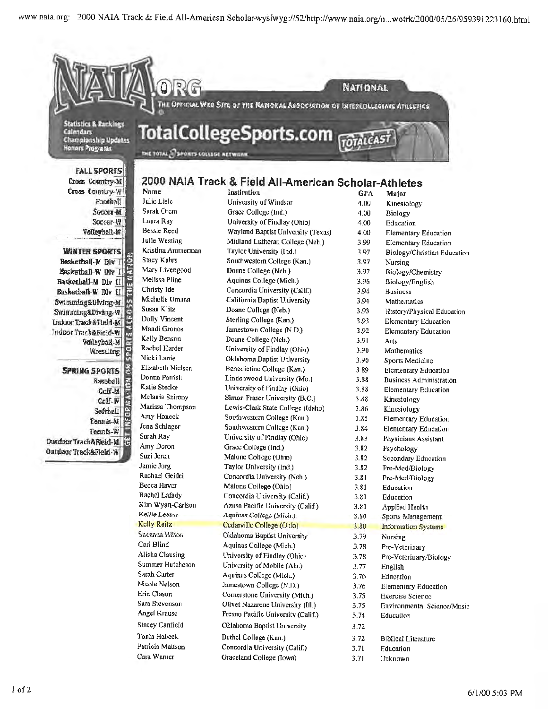

**WINTER SPORTS** Basketball-M Div T Basketball W Div I Baskethall-M Div II Basketball-W Dlv H Swimming&Diving-M Swimming&Diving-W Indoor Track&Fleld-AC Indoor Track&Field-W Volleyball-M Wrestling. E

E **SPRING SPORTS** TION **Baseball** Calf-M Golf-W Softball Tennis-M Tennis-W **Outdoor Track&Field-M** K. Outdoor Track&Flaid-W

Julie Westing Kristina Ammerman **Stacy Kahrs** Mary Livengood Melissa Pline Christy Ide Michelle Umana Susan Klitz Dolly Vincent Mandi Gronos Kelly Benson Rachel Harder Nicki Lanie Elizabeth Nielscn Donna Parrish Katie Stedke Melanie Szirony Marissa Thompson Amy Honeck Jena Schlager Surah Ray Amy Doron Suzi Jeren Jamie Jorg Rachael Geidel Becca Haver Rachel Lafady Kim Wyatt-Carlson Kellie Leeuw **Kelly Reitz** Sueanna Hilton Carl Blind Alisha Clausing Summer Hutcheson Sarah Carter Nicole Nelson Erin Clason Sara Stevenson Angel Krause **Stacey Canfield** 

Tonia Habeck

Cara Warner

Patricia Mattson

Midland Lutheran College (Neb.) Taylor University (Ind.) Southwestern College (Kan.) Doane College (Neb.) Aquinas College (Mich.) Concordia University (Calif.) California Baptist University Doane College (Neb.) Sterling College (Kan.) Jamestown College (N.D.) Doane College (Neb.) University of Findlay (Ohio) Oklahoma Baptist University Benedictine College (Kan.) Lindenwood University (Mo.) University of Findlay (Ohio) Simon Fraser University (B.C.) Lewis-Clark State College (Idaho) Southwestern College (Kan.) Southwestern College (Kan.) University of Findlay (Ohio) Grace College (Ind.) Malone College (Ohio) Taylor University (Ind.) Concordia University (Neb.) Malone College (Ohio) Concordia University (Calif.) Azusa Pacific University (Calif.) Aquinas College (Mich.) Cedarville College (Ohio) Oklahoma Baptist University Aquinas College (Mich.) University of Findlay (Ohio) University of Mobile (Ala.) Aquinas College (Mich.) Jamestown College (N.D.) Cornerstone University (Mich.) Olivet Nazarene University (III.) Fresno Pacific University (Calif.) Oklahoma Baptist University Bethel College (Kan.) Concordia University (Calif.)

Graceland College (Iowa)

3.99 **Elementary Education** 3.97 **Biology/Christian Education** 3.97 Nursing 3.97 Biology/Chemistry 3.96 Biology/English 3.94 **Business** 3.94 Mathematics 3.93 History/Physical Education 3.93 Elementary Education 3.92 Elementary Education 3.91 Arts 3.90 Mathematics 3.90 Sports Medicine 389 **Elementary Education** 3.88 **Business Administration** 3.88 Elementary Education 3.88 Kinesiology 3.86 Kinesiology 3.85 **Elementary Education** Elementary Education 3.84 3.83 Physicians Assistant 3.82 Psychology 3.82 Secondary Education 3.82 Pre-Med/Biology 3.81 Pre-Med/Biology 3.81 Education 3.81 Education 3.81 **Applied Health** 3.80 Sports Management  $3.80$ **Information Systems** 3.79 Nursing 3.78 Pre-Veterinary 3.78 Pre-Veterinary/Biology 3.77 English 3.76 Education 3.76 Elementary Education 3.75 **Exercise Science** 3.75 **Environmental Science/Mnsic** 3.74 Education 3.72 3.72 **Biblical Literature** 3.71 Education 3.71 Unknown

 $1$  of  $2$